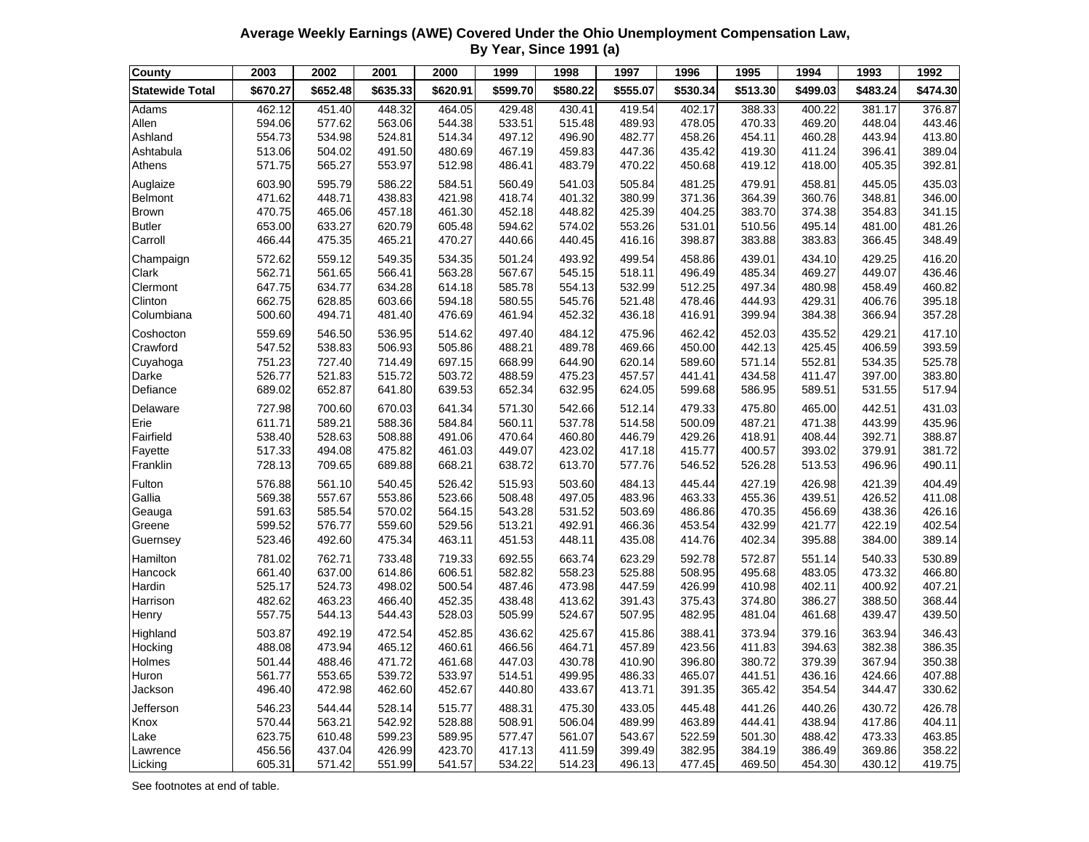**Average Weekly Earnings (AWE) Covered Under the Ohio Unemployment Compensation Law, By Year, Since 1991 (a)**

| County                 | 2003             | 2002             | 2001             | 2000             | 1999             | 1998             | 1997             | 1996             | 1995             | 1994             | 1993             | 1992             |
|------------------------|------------------|------------------|------------------|------------------|------------------|------------------|------------------|------------------|------------------|------------------|------------------|------------------|
| <b>Statewide Total</b> | \$670.27         | \$652.48         | \$635.33         | \$620.91         | \$599.70         | \$580.22         | \$555.07         | \$530.34         | \$513.30         | \$499.03         | \$483.24         | \$474.30         |
| Adams                  | 462.12           | 451.40           | 448.32           | 464.05           | 429.48           | 430.41           | 419.54           | 402.17           | 388.33           | 400.22           | 381.17           | 376.87           |
| Allen                  | 594.06           | 577.62           | 563.06           | 544.38           | 533.51           | 515.48           | 489.93           | 478.05           | 470.33           | 469.20           | 448.04           | 443.46           |
| Ashland                | 554.73           | 534.98           | 524.81           | 514.34           | 497.12           | 496.90           | 482.77           | 458.26           | 454.11           | 460.28           | 443.94           | 413.80           |
| Ashtabula              | 513.06           | 504.02           | 491.50           | 480.69           | 467.19           | 459.83           | 447.36           | 435.42           | 419.30           | 411.24           | 396.41           | 389.04           |
| Athens                 | 571.75           | 565.27           | 553.97           | 512.98           | 486.41           | 483.79           | 470.22           | 450.68           | 419.12           | 418.00           | 405.35           | 392.81           |
| Auglaize               | 603.90           | 595.79           | 586.22           | 584.51           | 560.49           | 541.03           | 505.84           | 481.25           | 479.91           | 458.81           | 445.05           | 435.03           |
| Belmont                | 471.62           | 448.71           | 438.83           | 421.98           | 418.74           | 401.32           | 380.99           | 371.36           | 364.39           | 360.76           | 348.81           | 346.00           |
| <b>Brown</b>           | 470.75           | 465.06           | 457.18           | 461.30           | 452.18           | 448.82           | 425.39           | 404.25           | 383.70           | 374.38           | 354.83           | 341.15           |
| <b>Butler</b>          | 653.00           | 633.27           | 620.79           | 605.48           | 594.62           | 574.02           | 553.26           | 531.01           | 510.56           | 495.14           | 481.00           | 481.26           |
| Carroll                | 466.44           | 475.35           | 465.21           | 470.27           | 440.66           | 440.45           | 416.16           | 398.87           | 383.88           | 383.83           | 366.45           | 348.49           |
| Champaign              | 572.62           | 559.12           | 549.35           | 534.35           | 501.24           | 493.92           | 499.54           | 458.86           | 439.01           | 434.10           | 429.25           | 416.20           |
| Clark                  | 562.71           | 561.65           | 566.41           | 563.28           | 567.67           | 545.15           | 518.11           | 496.49           | 485.34           | 469.27           | 449.07           | 436.46           |
| Clermont               | 647.75           | 634.77           | 634.28           | 614.18           | 585.78           | 554.13           | 532.99           | 512.25           | 497.34           | 480.98           | 458.49           | 460.82           |
| Clinton                | 662.75           | 628.85           | 603.66           | 594.18           | 580.55           | 545.76           | 521.48           | 478.46           | 444.93           | 429.31           | 406.76           | 395.18           |
| Columbiana             | 500.60           | 494.71           | 481.40           | 476.69           | 461.94           | 452.32           | 436.18           | 416.91           | 399.94           | 384.38           | 366.94           | 357.28           |
| Coshocton              | 559.69           | 546.50           | 536.95           | 514.62           | 497.40           | 484.12           | 475.96           | 462.42           | 452.03           | 435.52           | 429.21           | 417.10           |
| Crawford               | 547.52           | 538.83           | 506.93           | 505.86           | 488.21           | 489.78           | 469.66           | 450.00           | 442.13           | 425.45           | 406.59           | 393.59           |
| Cuyahoga               | 751.23           | 727.40           | 714.49           | 697.15           | 668.99           | 644.90           | 620.14           | 589.60           | 571.14           | 552.81           | 534.35           | 525.78           |
| Darke                  | 526.77           | 521.83           | 515.72           | 503.72           | 488.59           | 475.23           | 457.57           | 441.41           | 434.58           | 411.47           | 397.00           | 383.80           |
| Defiance               | 689.02           | 652.87           | 641.80           | 639.53           | 652.34           | 632.95           | 624.05           | 599.68           | 586.95           | 589.51           | 531.55           | 517.94           |
| Delaware               | 727.98           | 700.60           | 670.03           | 641.34           | 571.30           | 542.66           | 512.14           | 479.33           | 475.80           | 465.00           | 442.51           | 431.03           |
| Erie                   | 611.71           | 589.21           | 588.36           | 584.84           | 560.11           | 537.78           | 514.58           | 500.09           | 487.21           | 471.38           | 443.99           | 435.96           |
| Fairfield              | 538.40           | 528.63           | 508.88           | 491.06           | 470.64           | 460.80           | 446.79           | 429.26           | 418.91           | 408.44           | 392.71           | 388.87           |
| Fayette                | 517.33           | 494.08           | 475.82           | 461.03           | 449.07           | 423.02           | 417.18           | 415.77           | 400.57           | 393.02           | 379.91           | 381.72           |
| Franklin               | 728.13           | 709.65           | 689.88           | 668.21           | 638.72           | 613.70           | 577.76           | 546.52           | 526.28           | 513.53           | 496.96           | 490.11           |
| Fulton                 | 576.88           | 561.10           | 540.45           | 526.42           | 515.93           | 503.60           | 484.13           | 445.44           | 427.19           | 426.98           | 421.39           | 404.49           |
| Gallia                 | 569.38           | 557.67           | 553.86           | 523.66           | 508.48           | 497.05           | 483.96           | 463.33           | 455.36           | 439.51           | 426.52           | 411.08           |
| Geauga                 | 591.63           | 585.54           | 570.02           | 564.15           | 543.28           | 531.52           | 503.69           | 486.86           | 470.35           | 456.69           | 438.36           | 426.16           |
| Greene                 | 599.52           | 576.77           | 559.60           | 529.56           | 513.21           | 492.91           | 466.36           | 453.54           | 432.99           | 421.77           | 422.19           | 402.54<br>389.14 |
| Guernsey               | 523.46           | 492.60           | 475.34           | 463.11           | 451.53           | 448.11           | 435.08           | 414.76           | 402.34           | 395.88           | 384.00           |                  |
| Hamilton               | 781.02           | 762.71           | 733.48           | 719.33           | 692.55           | 663.74           | 623.29           | 592.78           | 572.87           | 551.14           | 540.33           | 530.89           |
| Hancock                | 661.40           | 637.00           | 614.86           | 606.51           | 582.82           | 558.23           | 525.88           | 508.95           | 495.68           | 483.05           | 473.32           | 466.80           |
| Hardin<br>Harrison     | 525.17<br>482.62 | 524.73<br>463.23 | 498.02<br>466.40 | 500.54<br>452.35 | 487.46<br>438.48 | 473.98<br>413.62 | 447.59<br>391.43 | 426.99<br>375.43 | 410.98<br>374.80 | 402.11<br>386.27 | 400.92<br>388.50 | 407.21<br>368.44 |
| Henry                  | 557.75           | 544.13           | 544.43           | 528.03           | 505.99           | 524.67           | 507.95           | 482.95           | 481.04           | 461.68           | 439.47           | 439.50           |
|                        |                  |                  |                  |                  |                  |                  |                  |                  |                  |                  |                  |                  |
| Highland               | 503.87           | 492.19           | 472.54           | 452.85           | 436.62           | 425.67           | 415.86           | 388.41           | 373.94           | 379.16           | 363.94           | 346.43           |
| Hocking<br>Holmes      | 488.08<br>501.44 | 473.94<br>488.46 | 465.12<br>471.72 | 460.61<br>461.68 | 466.56<br>447.03 | 464.71<br>430.78 | 457.89<br>410.90 | 423.56<br>396.80 | 411.83<br>380.72 | 394.63<br>379.39 | 382.38<br>367.94 | 386.35<br>350.38 |
| Huron                  | 561.77           | 553.65           | 539.72           | 533.97           | 514.51           | 499.95           | 486.33           | 465.07           | 441.51           | 436.16           | 424.66           | 407.88           |
| Jackson                | 496.40           | 472.98           | 462.60           | 452.67           | 440.80           | 433.67           | 413.71           | 391.35           | 365.42           | 354.54           | 344.47           | 330.62           |
| Jefferson              |                  | 544.44           | 528.14           | 515.77           | 488.31           | 475.30           | 433.05           | 445.48           | 441.26           | 440.26           | 430.72           | 426.78           |
| Knox                   | 546.23<br>570.44 | 563.21           | 542.92           | 528.88           | 508.91           | 506.04           | 489.99           | 463.89           | 444.41           | 438.94           | 417.86           | 404.11           |
| Lake                   | 623.75           | 610.48           | 599.23           | 589.95           | 577.47           | 561.07           | 543.67           | 522.59           | 501.30           | 488.42           | 473.33           | 463.85           |
| Lawrence               | 456.56           | 437.04           | 426.99           | 423.70           | 417.13           | 411.59           | 399.49           | 382.95           | 384.19           | 386.49           | 369.86           | 358.22           |
| Licking                | 605.31           | 571.42           | 551.99           | 541.57           | 534.22           | 514.23           | 496.13           | 477.45           | 469.50           | 454.30           | 430.12           | 419.75           |

See footnotes at end of table.